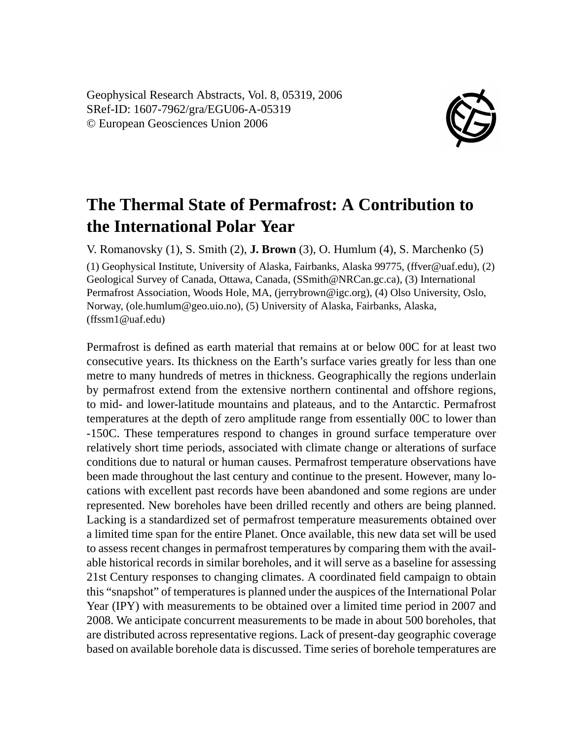Geophysical Research Abstracts, Vol. 8, 05319, 2006 SRef-ID: 1607-7962/gra/EGU06-A-05319 © European Geosciences Union 2006



## **The Thermal State of Permafrost: A Contribution to the International Polar Year**

V. Romanovsky (1), S. Smith (2), **J. Brown** (3), O. Humlum (4), S. Marchenko (5)

(1) Geophysical Institute, University of Alaska, Fairbanks, Alaska 99775, (ffver@uaf.edu), (2) Geological Survey of Canada, Ottawa, Canada, (SSmith@NRCan.gc.ca), (3) International Permafrost Association, Woods Hole, MA, (jerrybrown@igc.org), (4) Olso University, Oslo, Norway, (ole.humlum@geo.uio.no), (5) University of Alaska, Fairbanks, Alaska, (ffssm1@uaf.edu)

Permafrost is defined as earth material that remains at or below 00C for at least two consecutive years. Its thickness on the Earth's surface varies greatly for less than one metre to many hundreds of metres in thickness. Geographically the regions underlain by permafrost extend from the extensive northern continental and offshore regions, to mid- and lower-latitude mountains and plateaus, and to the Antarctic. Permafrost temperatures at the depth of zero amplitude range from essentially 00C to lower than -150C. These temperatures respond to changes in ground surface temperature over relatively short time periods, associated with climate change or alterations of surface conditions due to natural or human causes. Permafrost temperature observations have been made throughout the last century and continue to the present. However, many locations with excellent past records have been abandoned and some regions are under represented. New boreholes have been drilled recently and others are being planned. Lacking is a standardized set of permafrost temperature measurements obtained over a limited time span for the entire Planet. Once available, this new data set will be used to assess recent changes in permafrost temperatures by comparing them with the available historical records in similar boreholes, and it will serve as a baseline for assessing 21st Century responses to changing climates. A coordinated field campaign to obtain this "snapshot" of temperatures is planned under the auspices of the International Polar Year (IPY) with measurements to be obtained over a limited time period in 2007 and 2008. We anticipate concurrent measurements to be made in about 500 boreholes, that are distributed across representative regions. Lack of present-day geographic coverage based on available borehole data is discussed. Time series of borehole temperatures are